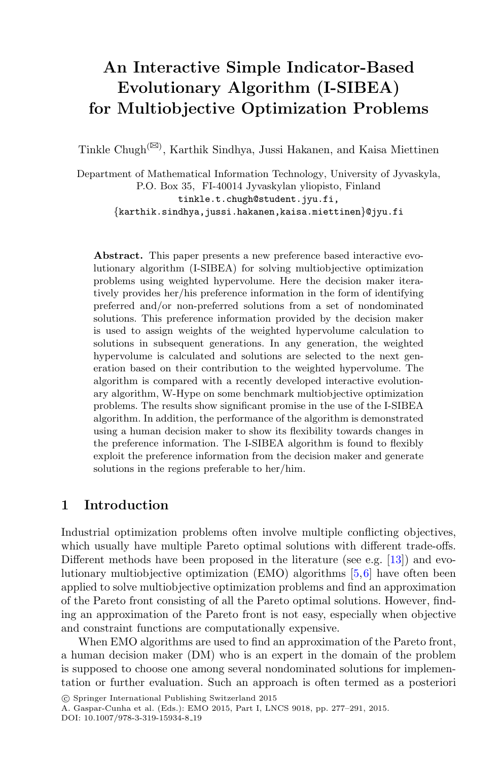# An Interactive Simple Indicator-Based Evolutionary Algorithm (I-SIBEA) for Multiobjective Optimization Problems

 $\operatorname{Think}$ Chugh $^{(\boxtimes)}$ , Karthik Sindhya, Jussi Hakanen, and Kaisa Miettinen

Department of Mathematical Information Technology, University of Jyvaskyla, P.O. Box 35, FI-40014 Jyvaskylan yliopisto, Finland tinkle.t.chugh@student.jyu.fi, *{*karthik.sindhya,jussi.hakanen,kaisa.miettinen*}*@jyu.fi

Abstract. This paper presents a new preference based interactive evolutionary algorithm (I-SIBEA) for solving multiobjective optimization problems using weighted hypervolume. Here the decision maker iteratively provides her/his preference information in the form of identifying preferred and/or non-preferred solutions from a set of nondominated solutions. This preference information provided by the decision maker is used to assign weights of the weighted hypervolume calculation to solutions in subsequent generations. In any generation, the weighted hypervolume is calculated and solutions are selected to the next generation based on their contribution to the weighted hypervolume. The algorithm is compared with a recently developed interactive evolutionary algorithm, W-Hype on some benchmark multiobjective optimization problems. The results show significant promise in the use of the I-SIBEA algorithm. In addition, the performance of the algorithm is demonstrated using a human decision maker to show its flexibility towards changes in the preference information. The I-SIBEA algorithm is found to flexibly exploit the preference information from the decision maker and generate solutions in the regions preferable to her/him.

### 1 Introduction

Industrial optimization problems often involve multiple conflicting objectives, which usually have multiple Pareto optimal solutions with different trade-offs. Different methods have been proposed in the literature (see e.g. [\[13\]](#page--1-0)) and evolutionary multiobjective optimization (EMO) algorithms [\[5,](#page--1-1)[6](#page--1-2)] have often been applied to solve multiobjective optimization problems and find an approximation of the Pareto front consisting of all the Pareto optimal solutions. However, finding an approximation of the Pareto front is not easy, especially when objective and constraint functions are computationally expensive.

When EMO algorithms are used to find an approximation of the Pareto front, a human decision maker (DM) who is an expert in the domain of the problem is supposed to choose one among several nondominated solutions for implementation or further evaluation. Such an approach is often termed as a posteriori

⃝c Springer International Publishing Switzerland 2015

A. Gaspar-Cunha et al. (Eds.): EMO 2015, Part I, LNCS 9018, pp. 277–291, 2015. DOI: 10.1007/978-3-319-15934-8 19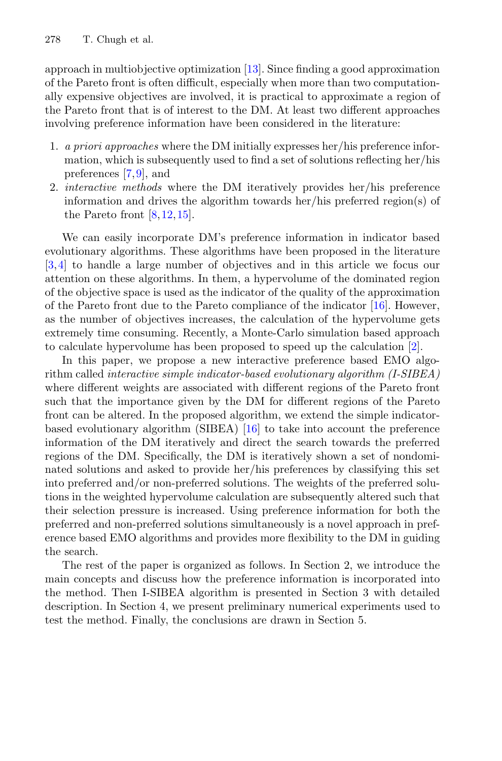approach in multiobjective optimization [\[13](#page--1-0)]. Since finding a good approximation of the Pareto front is often difficult, especially when more than two computationally expensive objectives are involved, it is practical to approximate a region of the Pareto front that is of interest to the DM. At least two different approaches involving preference information have been considered in the literature:

- 1. *a priori approaches* where the DM initially expresses her/his preference information, which is subsequently used to find a set of solutions reflecting her/his preferences [\[7](#page--1-3)[,9](#page--1-4)], and
- 2. *interactive methods* where the DM iteratively provides her/his preference information and drives the algorithm towards her/his preferred region(s) of the Pareto front  $[8, 12, 15]$  $[8, 12, 15]$ .

We can easily incorporate DM's preference information in indicator based evolutionary algorithms. These algorithms have been proposed in the literature [\[3](#page--1-8),[4\]](#page--1-9) to handle a large number of objectives and in this article we focus our attention on these algorithms. In them, a hypervolume of the dominated region of the objective space is used as the indicator of the quality of the approximation of the Pareto front due to the Pareto compliance of the indicator [\[16\]](#page--1-10). However, as the number of objectives increases, the calculation of the hypervolume gets extremely time consuming. Recently, a Monte-Carlo simulation based approach to calculate hypervolume has been proposed to speed up the calculation [\[2](#page--1-11)].

In this paper, we propose a new interactive preference based EMO algorithm called *interactive simple indicator-based evolutionary algorithm (I-SIBEA)* where different weights are associated with different regions of the Pareto front such that the importance given by the DM for different regions of the Pareto front can be altered. In the proposed algorithm, we extend the simple indicatorbased evolutionary algorithm (SIBEA) [\[16](#page--1-10)] to take into account the preference information of the DM iteratively and direct the search towards the preferred regions of the DM. Specifically, the DM is iteratively shown a set of nondominated solutions and asked to provide her/his preferences by classifying this set into preferred and/or non-preferred solutions. The weights of the preferred solutions in the weighted hypervolume calculation are subsequently altered such that their selection pressure is increased. Using preference information for both the preferred and non-preferred solutions simultaneously is a novel approach in preference based EMO algorithms and provides more flexibility to the DM in guiding the search.

The rest of the paper is organized as follows. In Section 2, we introduce the main concepts and discuss how the preference information is incorporated into the method. Then I-SIBEA algorithm is presented in Section 3 with detailed description. In Section 4, we present preliminary numerical experiments used to test the method. Finally, the conclusions are drawn in Section 5.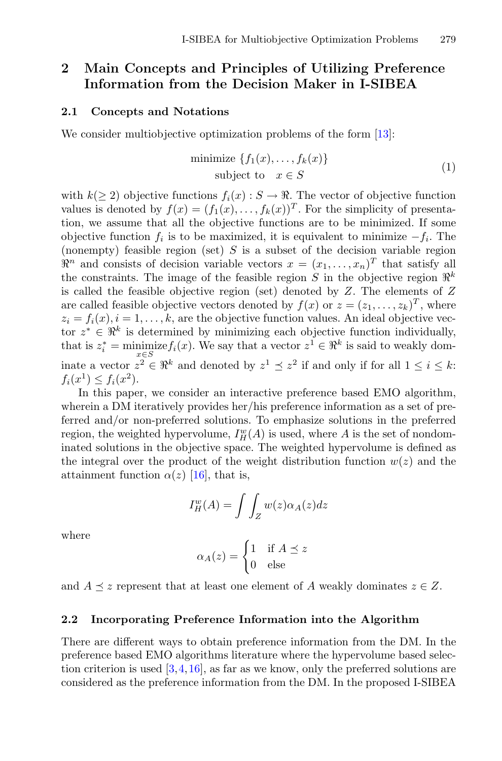### 2 Main Concepts and Principles of Utilizing Preference Information from the Decision Maker in I-SIBEA

#### 2.1 Concepts and Notations

We consider multiobjective optimization problems of the form [\[13](#page--1-0)]:

$$
\begin{array}{ll}\text{minimize } \{f_1(x), \dots, f_k(x)\} \\ \text{subject to} \quad x \in S \end{array} \tag{1}
$$

with  $k(\geq 2)$  objective functions  $f_i(x): S \to \mathbb{R}$ . The vector of objective function values is denoted by  $f(x) = (f_1(x), \ldots, f_k(x))^T$ . For the simplicity of presentation, we assume that all the objective functions are to be minimized. If some objective function  $f_i$  is to be maximized, it is equivalent to minimize  $-f_i$ . The (nonempty) feasible region (set) *S* is a subset of the decision variable region  $\mathbb{R}^n$  and consists of decision variable vectors  $x = (x_1, \ldots, x_n)^T$  that satisfy all the constraints. The image of the feasible region *S* in the objective region  $\mathbb{R}^k$ is called the feasible objective region (set) denoted by *Z*. The elements of *Z* are called feasible objective vectors denoted by  $f(x)$  or  $z = (z_1, \ldots, z_k)^T$ , where  $z_i = f_i(x), i = 1, \ldots, k$ , are the objective function values. An ideal objective vector  $z^* \in \mathbb{R}^k$  is determined by minimizing each objective function individually, that is  $z_i^* = \min_{x \in S} \text{imize } f_i(x)$ . We say that a vector  $z^1 \in \mathbb{R}^k$  is said to weakly dominate a vector  $z^2 \in \mathbb{R}^k$  and denoted by  $z^1 \preceq z^2$  if and only if for all  $1 \leq i \leq k$ .  $f_i(x^1) \leq f_i(x^2)$ .

In this paper, we consider an interactive preference based EMO algorithm, wherein a DM iteratively provides her/his preference information as a set of preferred and/or non-preferred solutions. To emphasize solutions in the preferred region, the weighted hypervolume,  $I^w_H(A)$  is used, where *A* is the set of nondominated solutions in the objective space. The weighted hypervolume is defined as the integral over the product of the weight distribution function  $w(z)$  and the attainment function  $\alpha(z)$  [\[16](#page--1-10)], that is,

$$
I_H^w(A) = \int \int_Z w(z) \alpha_A(z) dz
$$

where

$$
\alpha_A(z) = \begin{cases} 1 & \text{if } A \preceq z \\ 0 & \text{else} \end{cases}
$$

and  $A \preceq z$  represent that at least one element of A weakly dominates  $z \in Z$ .

#### 2.2 Incorporating Preference Information into the Algorithm

There are different ways to obtain preference information from the DM. In the preference based EMO algorithms literature where the hypervolume based selection criterion is used  $[3, 4, 16]$  $[3, 4, 16]$  $[3, 4, 16]$  $[3, 4, 16]$  $[3, 4, 16]$  $[3, 4, 16]$ , as far as we know, only the preferred solutions are considered as the preference information from the DM. In the proposed I-SIBEA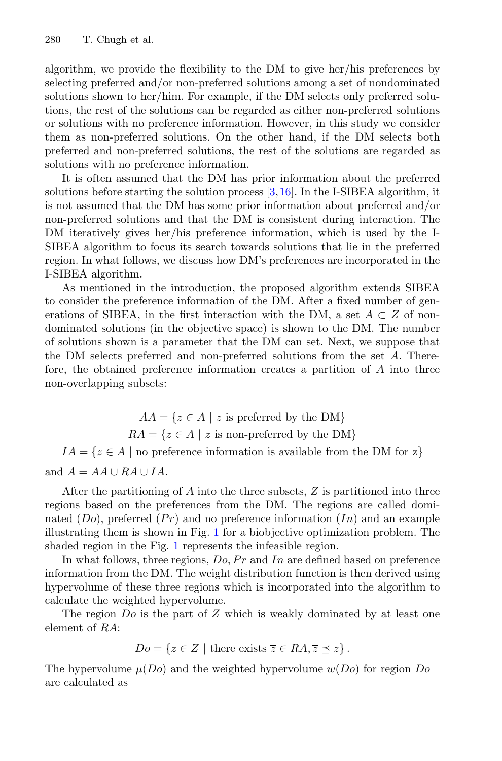algorithm, we provide the flexibility to the DM to give her/his preferences by selecting preferred and/or non-preferred solutions among a set of nondominated solutions shown to her/him. For example, if the DM selects only preferred solutions, the rest of the solutions can be regarded as either non-preferred solutions or solutions with no preference information. However, in this study we consider them as non-preferred solutions. On the other hand, if the DM selects both preferred and non-preferred solutions, the rest of the solutions are regarded as solutions with no preference information.

It is often assumed that the DM has prior information about the preferred solutions before starting the solution process [\[3](#page--1-8),[16\]](#page--1-10). In the I-SIBEA algorithm, it is not assumed that the DM has some prior information about preferred and/or non-preferred solutions and that the DM is consistent during interaction. The DM iteratively gives her/his preference information, which is used by the I-SIBEA algorithm to focus its search towards solutions that lie in the preferred region. In what follows, we discuss how DM's preferences are incorporated in the I-SIBEA algorithm.

As mentioned in the introduction, the proposed algorithm extends SIBEA to consider the preference information of the DM. After a fixed number of generations of SIBEA, in the first interaction with the DM, a set  $A \subset Z$  of nondominated solutions (in the objective space) is shown to the DM. The number of solutions shown is a parameter that the DM can set. Next, we suppose that the DM selects preferred and non-preferred solutions from the set *A*. Therefore, the obtained preference information creates a partition of *A* into three non-overlapping subsets:

 $AA = \{z \in A \mid z \text{ is preferred by the DM}\}$  $RA = \{z \in A \mid z \text{ is non-preferred by the DM}\}$  $IA = \{z \in A \mid$  no preference information is available from the DM for z $\}$ and  $A = AA \cup RA \cup IA$ .

After the partitioning of *A* into the three subsets, *Z* is partitioned into three regions based on the preferences from the DM. The regions are called dominated  $(Do)$ , preferred  $(Pr)$  and no preference information  $(In)$  and an example illustrating them is shown in Fig. [1](#page--1-12) for a biobjective optimization problem. The shaded region in the Fig. [1](#page--1-12) represents the infeasible region.

In what follows, three regions, *Do*, *Pr* and *In* are defined based on preference information from the DM. The weight distribution function is then derived using hypervolume of these three regions which is incorporated into the algorithm to calculate the weighted hypervolume.

The region *Do* is the part of *Z* which is weakly dominated by at least one element of *RA*:

$$
Do = \{ z \in Z \mid \text{there exists } \overline{z} \in RA, \overline{z} \preceq z \}.
$$

The hypervolume  $\mu(Do)$  and the weighted hypervolume  $w(Do)$  for region  $Do$ are calculated as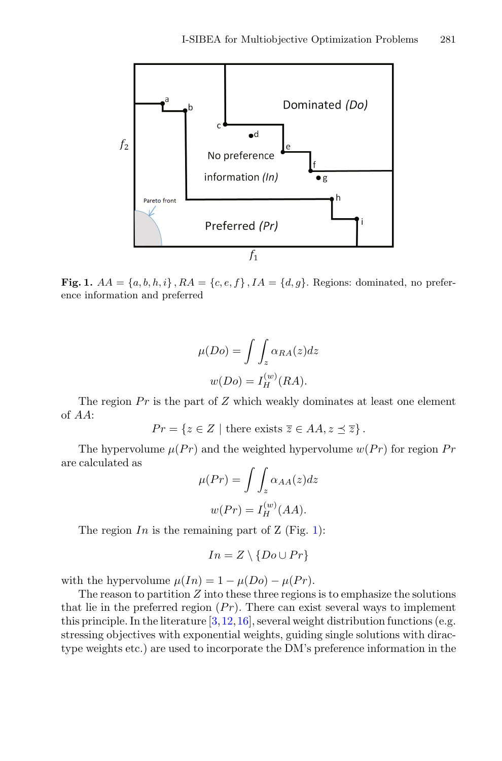

**Fig. 1.**  $AA = \{a, b, h, i\}$ ,  $RA = \{c, e, f\}$ ,  $IA = \{d, g\}$ . Regions: dominated, no preference information and preferred

$$
\mu(Do) = \int \int_{z} \alpha_{RA}(z) dz
$$

$$
w(Do) = I_H^{(w)}(RA).
$$

The region  $Pr$  is the part of  $Z$  which weakly dominates at least one element of *AA*:

 $Pr = \{z \in Z \mid \text{there exists } \overline{z} \in AA, z \preceq \overline{z}\}.$ 

The hypervolume  $\mu(Pr)$  and the weighted hypervolume  $w(Pr)$  for region  $Pr$ are calculated as

$$
\mu(Pr) = \int \int_{z} \alpha_{AA}(z) dz
$$

$$
w(Pr) = I_H^{(w)}(AA).
$$

The region  $In$  is the remaining part of  $Z$  (Fig. [1\)](#page--1-12):

$$
In = Z \setminus \{Do \cup Pr\}
$$

with the hypervolume  $\mu(In) = 1 - \mu(Do) - \mu(Pr)$ .

The reason to partition  $Z$  into these three regions is to emphasize the solutions that lie in the preferred region  $(Pr)$ . There can exist several ways to implement this principle. In the literature  $[3,12,16]$  $[3,12,16]$  $[3,12,16]$  $[3,12,16]$ , several weight distribution functions (e.g. stressing objectives with exponential weights, guiding single solutions with diractype weights etc.) are used to incorporate the DM's preference information in the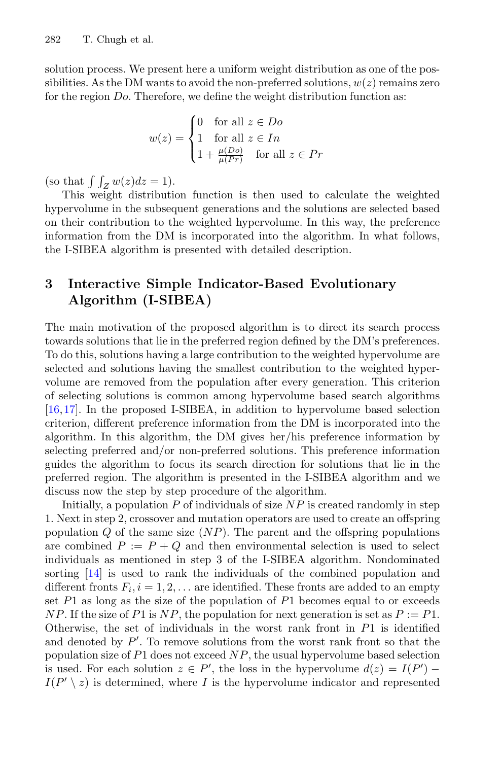solution process. We present here a uniform weight distribution as one of the possibilities. As the DM wants to avoid the non-preferred solutions,  $w(z)$  remains zero for the region *Do*. Therefore, we define the weight distribution function as:

$$
w(z) = \begin{cases} 0 & \text{for all } z \in Do \\ 1 & \text{for all } z \in In \\ 1 + \frac{\mu(Do)}{\mu(Pr)} & \text{for all } z \in Pr \end{cases}
$$

(so that  $\int \int_Z w(z) dz = 1$ ).

This weight distribution function is then used to calculate the weighted hypervolume in the subsequent generations and the solutions are selected based on their contribution to the weighted hypervolume. In this way, the preference information from the DM is incorporated into the algorithm. In what follows, the I-SIBEA algorithm is presented with detailed description.

## 3 Interactive Simple Indicator-Based Evolutionary Algorithm (I-SIBEA)

The main motivation of the proposed algorithm is to direct its search process towards solutions that lie in the preferred region defined by the DM's preferences. To do this, solutions having a large contribution to the weighted hypervolume are selected and solutions having the smallest contribution to the weighted hypervolume are removed from the population after every generation. This criterion of selecting solutions is common among hypervolume based search algorithms [\[16](#page--1-10),[17\]](#page--1-13). In the proposed I-SIBEA, in addition to hypervolume based selection criterion, different preference information from the DM is incorporated into the algorithm. In this algorithm, the DM gives her/his preference information by selecting preferred and/or non-preferred solutions. This preference information guides the algorithm to focus its search direction for solutions that lie in the preferred region. The algorithm is presented in the I-SIBEA algorithm and we discuss now the step by step procedure of the algorithm.

Initially, a population *P* of individuals of size *NP* is created randomly in step 1. Next in step 2, crossover and mutation operators are used to create an offspring population  $Q$  of the same size  $(NP)$ . The parent and the offspring populations are combined  $P := P + Q$  and then environmental selection is used to select individuals as mentioned in step 3 of the I-SIBEA algorithm. Nondominated sorting [\[14\]](#page--1-14) is used to rank the individuals of the combined population and different fronts  $F_i$ ,  $i = 1, 2, \ldots$  are identified. These fronts are added to an empty set *P*1 as long as the size of the population of *P*1 becomes equal to or exceeds *NP*. If the size of *P*1 is *NP*, the population for next generation is set as  $P := P1$ . Otherwise, the set of individuals in the worst rank front in *P*1 is identified and denoted by  $P'$ . To remove solutions from the worst rank front so that the population size of *P*1 does not exceed *NP*, the usual hypervolume based selection is used. For each solution  $z \in P'$ , the loss in the hypervolume  $d(z) = I(P') I(P' \setminus z)$  is determined, where *I* is the hypervolume indicator and represented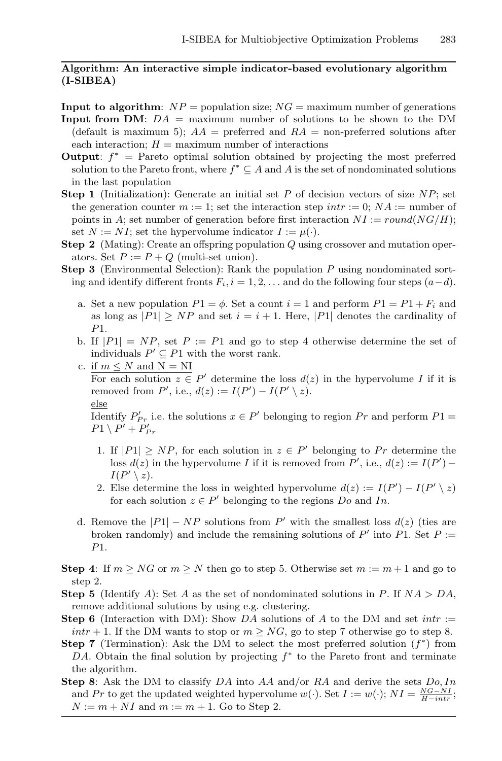#### Algorithm: An interactive simple indicator-based evolutionary algorithm (I-SIBEA)

**Input to algorithm:**  $NP =$  population size;  $NG =$  maximum number of generations Input from DM: *DA* = maximum number of solutions to be shown to the DM (default is maximum 5);  $AA =$  preferred and  $RA =$  non-preferred solutions after each interaction;  $H =$  maximum number of interactions

- **Output:**  $f^*$  = Pareto optimal solution obtained by projecting the most preferred solution to the Pareto front, where  $f^* \subseteq A$  and A is the set of nondominated solutions in the last population
- Step 1 (Initialization): Generate an initial set *P* of decision vectors of size *NP*; set the generation counter  $m := 1$ ; set the interaction step *intr*  $:= 0$ ;  $NA :=$  number of points in *A*; set number of generation before first interaction  $NI := round(NG/H)$ ; set  $N := NI$ ; set the hypervolume indicator  $I := \mu(\cdot)$ .
- Step 2 (Mating): Create an offspring population *Q* using crossover and mutation operators. Set  $P := P + Q$  (multi-set union).
- Step 3 (Environmental Selection): Rank the population *P* using nondominated sorting and identify different fronts  $F_i$ ,  $i = 1, 2, \ldots$  and do the following four steps  $(a-d)$ .
	- a. Set a new population  $P1 = \phi$ . Set a count  $i = 1$  and perform  $P1 = P1 + F_i$  and as long as  $|P_1| > NP$  and set  $i = i + 1$ . Here,  $|P_1|$  denotes the cardinality of *P*1.
	- b. If  $|P1| = NP$ , set  $P := P1$  and go to step 4 otherwise determine the set of individuals  $P' \subseteq P1$  with the worst rank.
	- c. if  $m \leq N$  and  $N = NI$ For each solution  $z \in P'$  determine the loss  $d(z)$  in the hypervolume *I* if it is removed from  $P'$ , i.e.,  $d(z) := I(P') - I(P' \setminus z)$ . else

Identify  $P'_{P_T}$  i.e. the solutions  $x \in P'$  belonging to region  $Pr$  and perform  $P1 =$  $P1 \setminus P' + P'_{Pr}$ 

- 1. If  $|P1| > NP$ , for each solution in  $z \in P'$  belonging to Pr determine the  $\log d(z)$  in the hypervolume *I* if it is removed from *P'*, i.e.,  $d(z) := I(P') - I(z)$  $I(P' \setminus z)$ .
- 2. Else determine the loss in weighted hypervolume  $d(z) := I(P') I(P' \setminus z)$ for each solution  $z \in P'$  belonging to the regions  $Do$  and  $In$ .
- d. Remove the  $|P1| NP$  solutions from  $P'$  with the smallest loss  $d(z)$  (ties are broken randomly) and include the remaining solutions of  $P'$  into  $P1$ . Set  $P :=$ *P*1*.*
- **Step 4:** If  $m \geq NG$  or  $m \geq N$  then go to step 5. Otherwise set  $m := m + 1$  and go to step 2.
- Step 5 (Identify *A*): Set *A* as the set of nondominated solutions in *P*. If *NA > DA*, remove additional solutions by using e.g. clustering.
- Step 6 (Interaction with DM): Show *DA* solutions of *A* to the DM and set *intr* := *intr* + 1. If the DM wants to stop or  $m \ge NG$ , go to step 7 otherwise go to step 8.
- **Step 7** (Termination): Ask the DM to select the most preferred solution  $(f^*)$  from *DA*. Obtain the final solution by projecting  $f^*$  to the Pareto front and terminate the algorithm.
- Step 8: Ask the DM to classify *DA* into *AA* and/or *RA* and derive the sets *Do, In* and *Pr* to get the updated weighted hypervolume  $w(\cdot)$ . Set  $I := w(\cdot); NI = \frac{NG - NI}{H - intr};$  $N := m + NI$  and  $m := m + 1$ . Go to Step 2.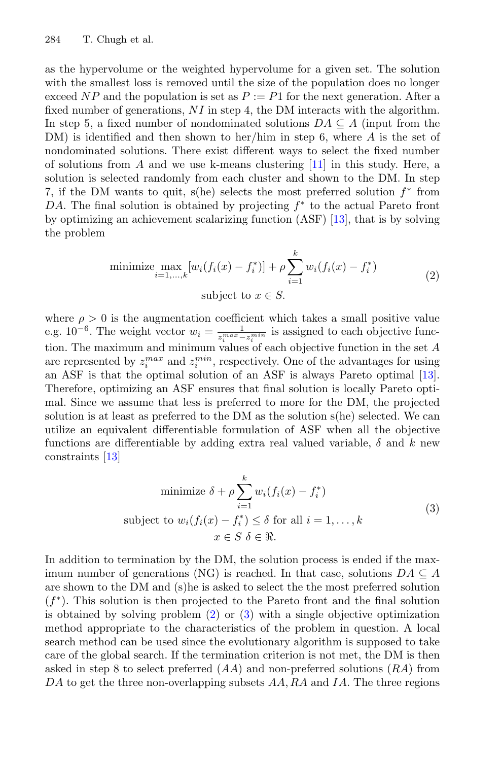as the hypervolume or the weighted hypervolume for a given set. The solution with the smallest loss is removed until the size of the population does no longer exceed NP and the population is set as  $P := P1$  for the next generation. After a fixed number of generations,  $NI$  in step 4, the DM interacts with the algorithm. In step 5, a fixed number of nondominated solutions  $DA \subseteq A$  (input from the DM) is identified and then shown to her/him in step 6, where *A* is the set of nondominated solutions. There exist different ways to select the fixed number of solutions from *A* and we use k-means clustering [\[11](#page--1-15)] in this study. Here, a solution is selected randomly from each cluster and shown to the DM. In step 7, if the DM wants to quit, s(he) selects the most preferred solution  $f^*$  from *DA*. The final solution is obtained by projecting  $f^*$  to the actual Pareto front by optimizing an achievement scalarizing function (ASF) [\[13\]](#page--1-0), that is by solving the problem

$$
\text{minimize } \max_{i=1,\dots,k} \left[ w_i(f_i(x) - f_i^*) \right] + \rho \sum_{i=1}^k w_i(f_i(x) - f_i^*)
$$
\n
$$
\text{subject to } x \in S. \tag{2}
$$

where  $\rho > 0$  is the augmentation coefficient which takes a small positive value e.g.  $10^{-6}$ . The weight vector  $w_i = \frac{1}{z_i^{max} - z_i^{min}}$  is assigned to each objective function. The maximum and minimum values of each objective function in the set *A* are represented by  $z_i^{max}$  and  $z_i^{min}$ , respectively. One of the advantages for using an ASF is that the optimal solution of an ASF is always Pareto optimal [\[13\]](#page--1-0). Therefore, optimizing an ASF ensures that final solution is locally Pareto optimal. Since we assume that less is preferred to more for the DM, the projected solution is at least as preferred to the DM as the solution s(he) selected. We can utilize an equivalent differentiable formulation of ASF when all the objective functions are differentiable by adding extra real valued variable, δ and *k* new constraints [\[13\]](#page--1-0)

minimize 
$$
\delta + \rho \sum_{i=1}^{k} w_i (f_i(x) - f_i^*)
$$
  
\nsubject to  $w_i (f_i(x) - f_i^*) \le \delta$  for all  $i = 1, ..., k$   
\n $x \in S \delta \in \Re$ . (3)

In addition to termination by the DM, the solution process is ended if the maximum number of generations (NG) is reached. In that case, solutions  $DA \subseteq A$ are shown to the DM and (s)he is asked to select the the most preferred solution (*f* <sup>∗</sup>). This solution is then projected to the Pareto front and the final solution is obtained by solving problem  $(2)$  or  $(3)$  with a single objective optimization method appropriate to the characteristics of the problem in question. A local search method can be used since the evolutionary algorithm is supposed to take care of the global search. If the termination criterion is not met, the DM is then asked in step 8 to select preferred (*AA*) and non-preferred solutions (*RA*) from *DA* to get the three non-overlapping subsets *AA, RA* and *IA*. The three regions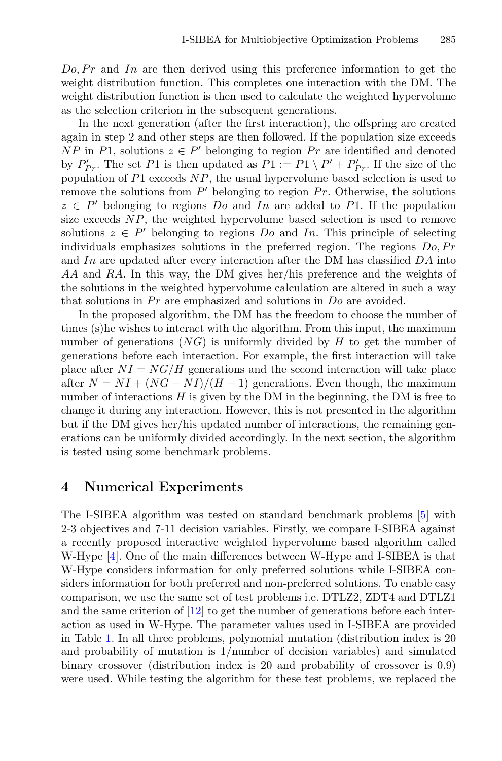*Do, Pr* and In are then derived using this preference information to get the weight distribution function. This completes one interaction with the DM. The weight distribution function is then used to calculate the weighted hypervolume as the selection criterion in the subsequent generations.

In the next generation (after the first interaction), the offspring are created again in step 2 and other steps are then followed. If the population size exceeds *NP* in *P*1, solutions  $z \in P'$  belonging to region *Pr* are identified and denoted by  $P'_{Pr}$ . The set *P*1 is then updated as  $P_1 := P_1 \setminus P' + P'_{Pr}$ . If the size of the population of *P*1 exceeds *NP*, the usual hypervolume based selection is used to remove the solutions from  $P'$  belonging to region  $Pr$ . Otherwise, the solutions  $z \in P'$  belonging to regions *Do* and *In* are added to *P*1. If the population size exceeds *NP*, the weighted hypervolume based selection is used to remove solutions  $z \in P'$  belonging to regions *Do* and *In*. This principle of selecting individuals emphasizes solutions in the preferred region. The regions  $Do, Pr$ and *In* are updated after every interaction after the DM has classified *DA* into *AA* and *RA*. In this way, the DM gives her/his preference and the weights of the solutions in the weighted hypervolume calculation are altered in such a way that solutions in *Pr* are emphasized and solutions in *Do* are avoided.

In the proposed algorithm, the DM has the freedom to choose the number of times (s)he wishes to interact with the algorithm. From this input, the maximum number of generations (*NG*) is uniformly divided by *H* to get the number of generations before each interaction. For example, the first interaction will take place after  $NI = NG/H$  generations and the second interaction will take place after  $N = NI + (NG - NI)/(H - 1)$  generations. Even though, the maximum number of interactions  $H$  is given by the DM in the beginning, the DM is free to change it during any interaction. However, this is not presented in the algorithm but if the DM gives her/his updated number of interactions, the remaining generations can be uniformly divided accordingly. In the next section, the algorithm is tested using some benchmark problems.

#### 4 Numerical Experiments

The I-SIBEA algorithm was tested on standard benchmark problems [\[5](#page--1-1)] with 2-3 objectives and 7-11 decision variables. Firstly, we compare I-SIBEA against a recently proposed interactive weighted hypervolume based algorithm called W-Hype [\[4](#page--1-9)]. One of the main differences between W-Hype and I-SIBEA is that W-Hype considers information for only preferred solutions while I-SIBEA considers information for both preferred and non-preferred solutions. To enable easy comparison, we use the same set of test problems i.e. DTLZ2, ZDT4 and DTLZ1 and the same criterion of  $[12]$  $[12]$  to get the number of generations before each interaction as used in W-Hype. The parameter values used in I-SIBEA are provided in Table [1.](#page--1-18) In all three problems, polynomial mutation (distribution index is 20 and probability of mutation is 1/number of decision variables) and simulated binary crossover (distribution index is 20 and probability of crossover is 0.9) were used. While testing the algorithm for these test problems, we replaced the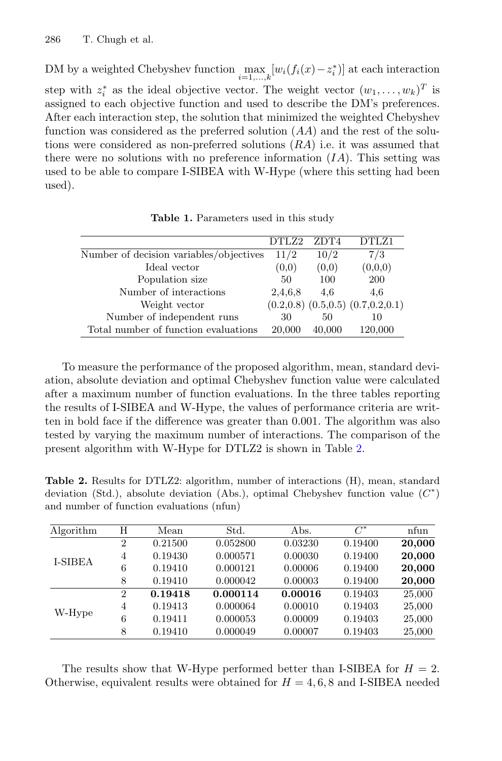DM by a weighted Chebyshev function  $\max_{i=1,...,k} [w_i(f_i(x) - z_i^*)]$  at each interaction step with  $z_i^*$  as the ideal objective vector. The weight vector  $(w_1, \ldots, w_k)^T$  is assigned to each objective function and used to describe the DM's preferences. After each interaction step, the solution that minimized the weighted Chebyshev function was considered as the preferred solution (*AA*) and the rest of the solutions were considered as non-preferred solutions (*RA*) i.e. it was assumed that there were no solutions with no preference information  $(IA)$ . This setting was used to be able to compare I-SIBEA with W-Hype (where this setting had been used).

|                                         | DTLZ2   | ZDT4   | DTLZ1                                       |
|-----------------------------------------|---------|--------|---------------------------------------------|
| Number of decision variables/objectives | 11/2    | 10/2   | 7/3                                         |
| Ideal vector                            | (0,0)   | (0,0)  | (0,0,0)                                     |
| Population size                         | 50      | 100    | <b>200</b>                                  |
| Number of interactions                  | 2,4,6,8 | 4.6    | 4,6                                         |
| Weight vector                           |         |        | $(0.2, 0.8)$ $(0.5, 0.5)$ $(0.7, 0.2, 0.1)$ |
| Number of independent runs              | 30      | 50     | 10                                          |
| Total number of function evaluations    | 20,000  | 40,000 | 120,000                                     |

Table 1. Parameters used in this study

To measure the performance of the proposed algorithm, mean, standard deviation, absolute deviation and optimal Chebyshev function value were calculated after a maximum number of function evaluations. In the three tables reporting the results of I-SIBEA and W-Hype, the values of performance criteria are written in bold face if the difference was greater than 0.001. The algorithm was also tested by varying the maximum number of interactions. The comparison of the present algorithm with W-Hype for DTLZ2 is shown in Table [2.](#page--1-19)

Table 2. Results for DTLZ2: algorithm, number of interactions (H), mean, standard deviation (Std.), absolute deviation (Abs.), optimal Chebyshev function value (*C*∗) and number of function evaluations (nfun)

| Algorithm      | Н              | Mean    | Std.     | Abs.    | $C^*$   | nfun   |
|----------------|----------------|---------|----------|---------|---------|--------|
| <b>I-SIBEA</b> | $\overline{2}$ | 0.21500 | 0.052800 | 0.03230 | 0.19400 | 20,000 |
|                | 4              | 0.19430 | 0.000571 | 0.00030 | 0.19400 | 20,000 |
|                | 6              | 0.19410 | 0.000121 | 0.00006 | 0.19400 | 20,000 |
|                | 8              | 0.19410 | 0.000042 | 0.00003 | 0.19400 | 20,000 |
| W-Hype         | $\overline{2}$ | 0.19418 | 0.000114 | 0.00016 | 0.19403 | 25,000 |
|                | $\overline{4}$ | 0.19413 | 0.000064 | 0.00010 | 0.19403 | 25,000 |
|                | 6              | 0.19411 | 0.000053 | 0.00009 | 0.19403 | 25,000 |
|                | 8              | 0.19410 | 0.000049 | 0.00007 | 0.19403 | 25,000 |

The results show that W-Hype performed better than I-SIBEA for  $H = 2$ . Otherwise, equivalent results were obtained for  $H = 4, 6, 8$  and I-SIBEA needed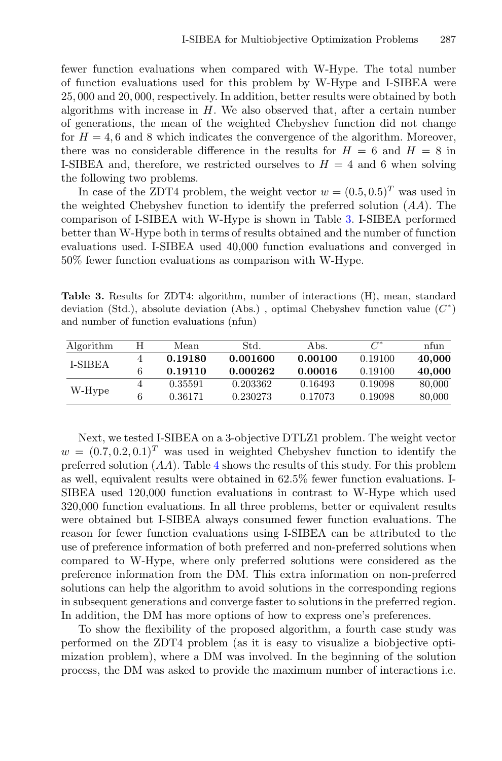fewer function evaluations when compared with W-Hype. The total number of function evaluations used for this problem by W-Hype and I-SIBEA were 25*,* 000 and 20*,* 000, respectively. In addition, better results were obtained by both algorithms with increase in *H*. We also observed that, after a certain number of generations, the mean of the weighted Chebyshev function did not change for  $H = 4, 6$  and 8 which indicates the convergence of the algorithm. Moreover, there was no considerable difference in the results for  $H = 6$  and  $H = 8$  in I-SIBEA and, therefore, we restricted ourselves to  $H = 4$  and 6 when solving the following two problems.

In case of the ZDT4 problem, the weight vector  $w = (0.5, 0.5)^T$  was used in the weighted Chebyshev function to identify the preferred solution (*AA*). The comparison of I-SIBEA with W-Hype is shown in Table [3.](#page--1-20) I-SIBEA performed better than W-Hype both in terms of results obtained and the number of function evaluations used. I-SIBEA used 40,000 function evaluations and converged in 50% fewer function evaluations as comparison with W-Hype.

Table 3. Results for ZDT4: algorithm, number of interactions (H), mean, standard deviation (Std.), absolute deviation (Abs.) , optimal Chebyshev function value (*C*∗) and number of function evaluations (nfun)

| Algorithm      | H | Mean    | Std.     | Abs.    | $C^*$   | nfun   |
|----------------|---|---------|----------|---------|---------|--------|
| <b>I-SIBEA</b> | 4 | 0.19180 | 0.001600 | 0.00100 | 0.19100 | 40,000 |
|                | 6 | 0.19110 | 0.000262 | 0.00016 | 0.19100 | 40,000 |
| W-Hype         | 4 | 0.35591 | 0.203362 | 0.16493 | 0.19098 | 80,000 |
|                | 6 | 0.36171 | 0.230273 | 0.17073 | 0.19098 | 80,000 |

Next, we tested I-SIBEA on a 3-objective DTLZ1 problem. The weight vector  $w = (0.7, 0.2, 0.1)^T$  was used in weighted Chebyshev function to identify the preferred solution (*AA*). Table [4](#page--1-21) shows the results of this study. For this problem as well, equivalent results were obtained in 62*.*5% fewer function evaluations. I-SIBEA used 120,000 function evaluations in contrast to W-Hype which used 320,000 function evaluations. In all three problems, better or equivalent results were obtained but I-SIBEA always consumed fewer function evaluations. The reason for fewer function evaluations using I-SIBEA can be attributed to the use of preference information of both preferred and non-preferred solutions when compared to W-Hype, where only preferred solutions were considered as the preference information from the DM. This extra information on non-preferred solutions can help the algorithm to avoid solutions in the corresponding regions in subsequent generations and converge faster to solutions in the preferred region. In addition, the DM has more options of how to express one's preferences.

To show the flexibility of the proposed algorithm, a fourth case study was performed on the ZDT4 problem (as it is easy to visualize a biobjective optimization problem), where a DM was involved. In the beginning of the solution process, the DM was asked to provide the maximum number of interactions i.e.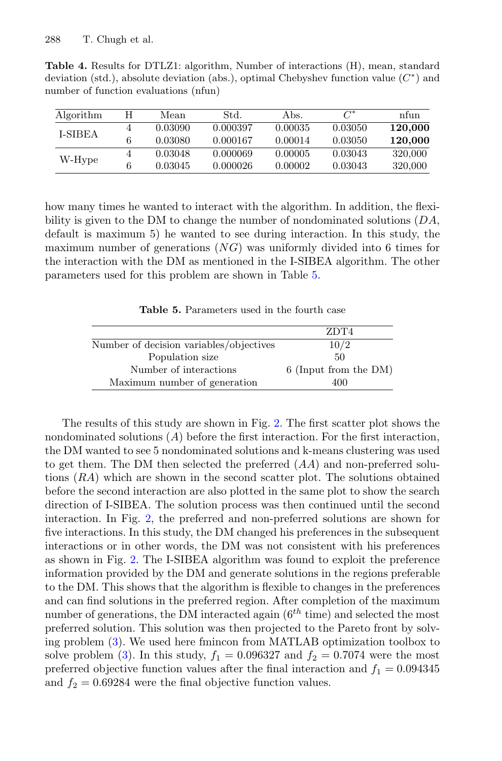| Algorithm      | H | Mean    | Std.     | Abs.    | $C^*$   | nfun    |
|----------------|---|---------|----------|---------|---------|---------|
| <b>I-SIBEA</b> | 4 | 0.03090 | 0.000397 | 0.00035 | 0.03050 | 120,000 |
|                | 6 | 0.03080 | 0.000167 | 0.00014 | 0.03050 | 120,000 |
| W-Hype         | 4 | 0.03048 | 0.000069 | 0.00005 | 0.03043 | 320,000 |
|                | 6 | 0.03045 | 0.000026 | 0.00002 | 0.03043 | 320,000 |

Table 4. Results for DTLZ1: algorithm, Number of interactions (H), mean, standard deviation (std.), absolute deviation (abs.), optimal Chebyshev function value (*C*∗) and number of function evaluations (nfun)

how many times he wanted to interact with the algorithm. In addition, the flexibility is given to the DM to change the number of nondominated solutions (*DA,* default is maximum 5) he wanted to see during interaction. In this study, the maximum number of generations (*NG*) was uniformly divided into 6 times for the interaction with the DM as mentioned in the I-SIBEA algorithm. The other parameters used for this problem are shown in Table [5.](#page--1-22)

Table 5. Parameters used in the fourth case

|                                         | ZDT4                  |
|-----------------------------------------|-----------------------|
| Number of decision variables/objectives | 10/2                  |
| Population size                         | $50^{\circ}$          |
| Number of interactions                  | 6 (Input from the DM) |
| Maximum number of generation            | 400                   |
|                                         |                       |

The results of this study are shown in Fig. [2.](#page--1-23) The first scatter plot shows the nondominated solutions (*A*) before the first interaction. For the first interaction, the DM wanted to see 5 nondominated solutions and k-means clustering was used to get them. The DM then selected the preferred (*AA*) and non-preferred solutions (*RA*) which are shown in the second scatter plot. The solutions obtained before the second interaction are also plotted in the same plot to show the search direction of I-SIBEA. The solution process was then continued until the second interaction. In Fig. [2,](#page--1-23) the preferred and non-preferred solutions are shown for five interactions. In this study, the DM changed his preferences in the subsequent interactions or in other words, the DM was not consistent with his preferences as shown in Fig. [2.](#page--1-23) The I-SIBEA algorithm was found to exploit the preference information provided by the DM and generate solutions in the regions preferable to the DM. This shows that the algorithm is flexible to changes in the preferences and can find solutions in the preferred region. After completion of the maximum number of generations, the DM interacted again ( $6^{th}$  time) and selected the most preferred solution. This solution was then projected to the Pareto front by solving problem [\(3\)](#page--1-17). We used here fmincon from MATLAB optimization toolbox to solve problem [\(3\)](#page--1-17). In this study,  $f_1 = 0.096327$  and  $f_2 = 0.7074$  were the most preferred objective function values after the final interaction and  $f_1 = 0.094345$ and  $f_2 = 0.69284$  were the final objective function values.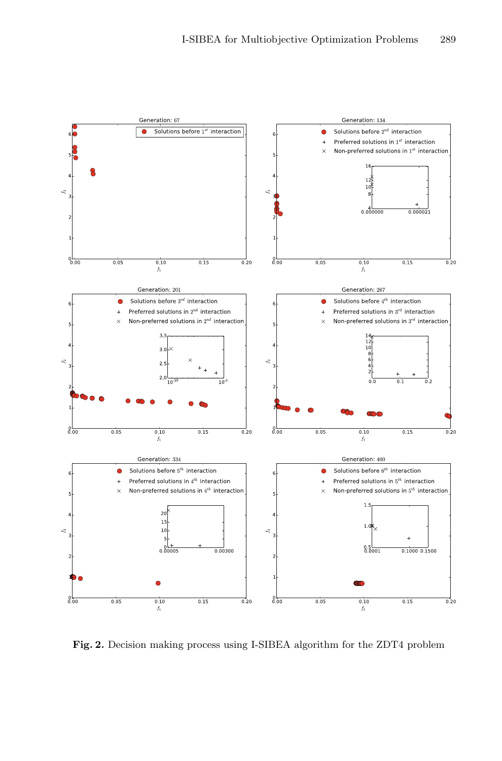

Fig. 2. Decision making process using I-SIBEA algorithm for the ZDT4 problem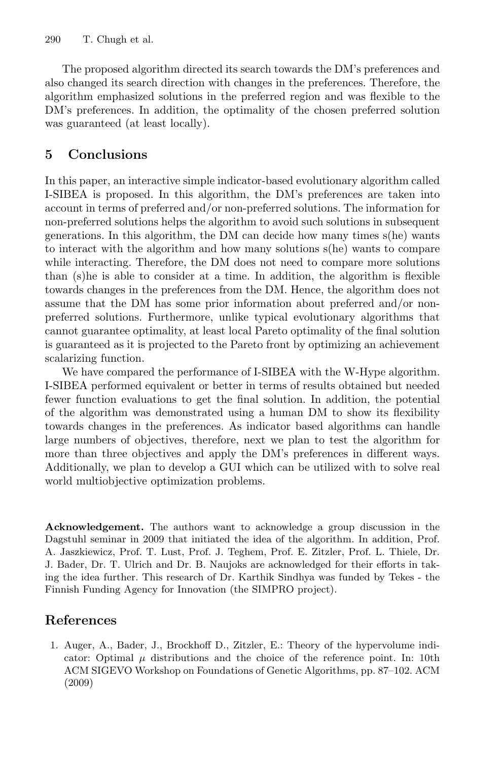The proposed algorithm directed its search towards the DM's preferences and also changed its search direction with changes in the preferences. Therefore, the algorithm emphasized solutions in the preferred region and was flexible to the DM's preferences. In addition, the optimality of the chosen preferred solution was guaranteed (at least locally).

### 5 Conclusions

In this paper, an interactive simple indicator-based evolutionary algorithm called I-SIBEA is proposed. In this algorithm, the DM's preferences are taken into account in terms of preferred and/or non-preferred solutions. The information for non-preferred solutions helps the algorithm to avoid such solutions in subsequent generations. In this algorithm, the DM can decide how many times s(he) wants to interact with the algorithm and how many solutions s(he) wants to compare while interacting. Therefore, the DM does not need to compare more solutions than (s)he is able to consider at a time. In addition, the algorithm is flexible towards changes in the preferences from the DM. Hence, the algorithm does not assume that the DM has some prior information about preferred and/or nonpreferred solutions. Furthermore, unlike typical evolutionary algorithms that cannot guarantee optimality, at least local Pareto optimality of the final solution is guaranteed as it is projected to the Pareto front by optimizing an achievement scalarizing function.

We have compared the performance of I-SIBEA with the W-Hype algorithm. I-SIBEA performed equivalent or better in terms of results obtained but needed fewer function evaluations to get the final solution. In addition, the potential of the algorithm was demonstrated using a human DM to show its flexibility towards changes in the preferences. As indicator based algorithms can handle large numbers of objectives, therefore, next we plan to test the algorithm for more than three objectives and apply the DM's preferences in different ways. Additionally, we plan to develop a GUI which can be utilized with to solve real world multiobjective optimization problems.

Acknowledgement. The authors want to acknowledge a group discussion in the Dagstuhl seminar in 2009 that initiated the idea of the algorithm. In addition, Prof. A. Jaszkiewicz, Prof. T. Lust, Prof. J. Teghem, Prof. E. Zitzler, Prof. L. Thiele, Dr. J. Bader, Dr. T. Ulrich and Dr. B. Naujoks are acknowledged for their efforts in taking the idea further. This research of Dr. Karthik Sindhya was funded by Tekes - the Finnish Funding Agency for Innovation (the SIMPRO project).

## References

1. Auger, A., Bader, J., Brockhoff D., Zitzler, E.: Theory of the hypervolume indicator: Optimal  $\mu$  distributions and the choice of the reference point. In: 10th ACM SIGEVO Workshop on Foundations of Genetic Algorithms, pp. 87–102. ACM (2009)